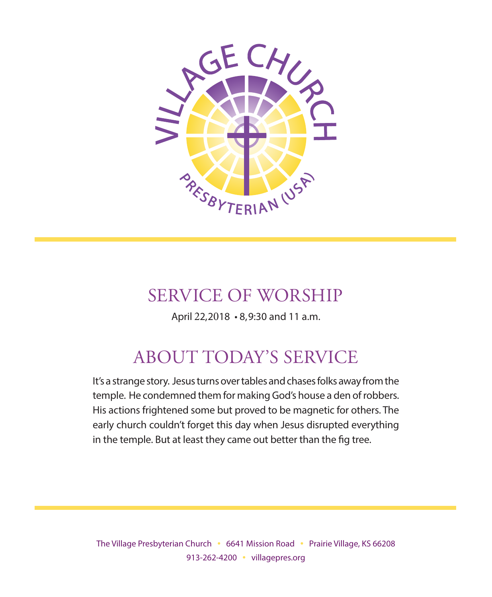

# SERVICE OF WORSHIP

April 22, 2018 • 8, 9:30 and 11 a.m.

# ABOUT TODAY'S SERVICE

It's a strange story. Jesus turns over tables and chases folks away from the temple. He condemned them for making God's house a den of robbers. His actions frightened some but proved to be magnetic for others. The early church couldn't forget this day when Jesus disrupted everything in the temple. But at least they came out better than the fig tree.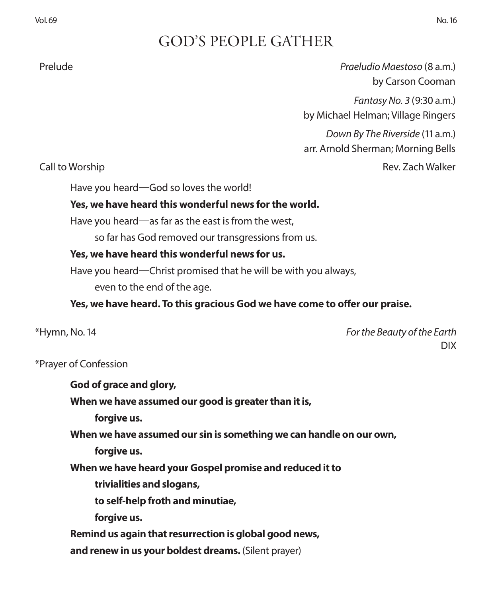# GOD'S PEOPLE GATHER

 Prelude *Praeludio Maestoso* (8 a.m.) by Carson Cooman

> *Fantasy No. 3* (9:30 a.m.) by Michael Helman; Village Ringers

> *Down By The Riverside* (11 a.m.) arr. Arnold Sherman; Morning Bells

**Call to Worship Call to Worship Rev. Zach Walker** 

Have you heard—God so loves the world!

### **Yes, we have heard this wonderful news for the world.**

Have you heard—as far as the east is from the west,

so far has God removed our transgressions from us.

### **Yes, we have heard this wonderful news for us.**

Have you heard—Christ promised that he will be with you always,

even to the end of the age.

**Yes, we have heard. To this gracious God we have come to offer our praise.**

\*Hymn, No. 14 *For the Beauty of the Earth* DIX

### \*Prayer of Confession

**God of grace and glory, When we have assumed our good is greater than it is, forgive us. When we have assumed our sin is something we can handle on our own, forgive us. When we have heard your Gospel promise and reduced it to trivialities and slogans, to self-help froth and minutiae, forgive us. Remind us again that resurrection is global good news, and renew in us your boldest dreams.** (Silent prayer)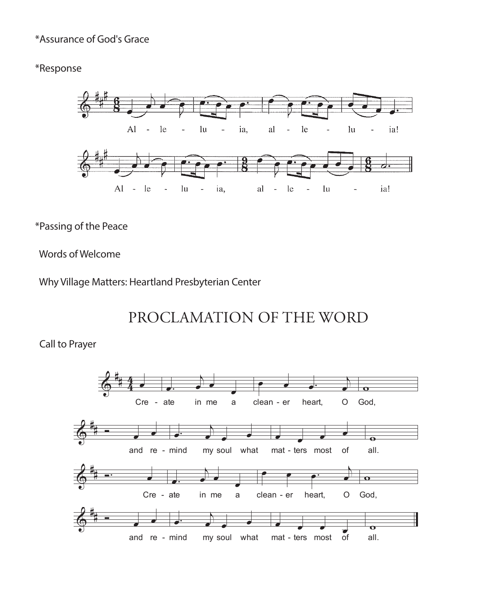### \*Assurance of God's Grace

### \*Response



### \*Passing of the Peace

### Words of Welcome

Why Village Matters: Heartland Presbyterian Center

# PROCLAMATION OF THE WORD

### Call to Prayer

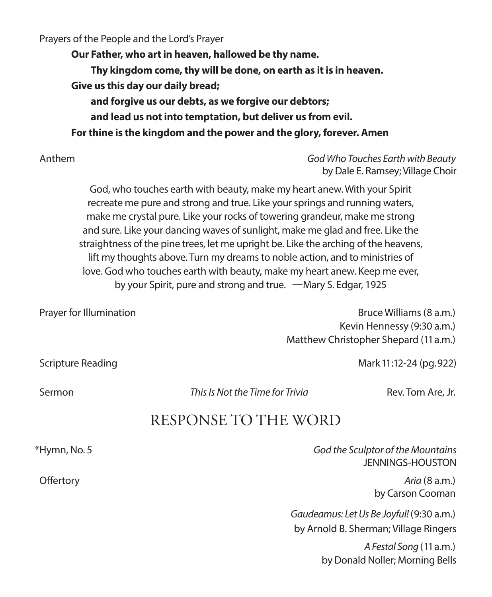Prayers of the People and the Lord's Prayer

**Our Father, who art in heaven, hallowed be thy name. Thy kingdom come, thy will be done, on earth as it is in heaven. Give us this day our daily bread; and forgive us our debts, as we forgive our debtors; and lead us not into temptation, but deliver us from evil. For thine is the kingdom and the power and the glory, forever. Amen**

 Anthem *God Who Touches Earth with Beauty* by Dale E. Ramsey; Village Choir

God, who touches earth with beauty, make my heart anew. With your Spirit recreate me pure and strong and true. Like your springs and running waters, make me crystal pure. Like your rocks of towering grandeur, make me strong and sure. Like your dancing waves of sunlight, make me glad and free. Like the straightness of the pine trees, let me upright be. Like the arching of the heavens, lift my thoughts above. Turn my dreams to noble action, and to ministries of love. God who touches earth with beauty, make my heart anew. Keep me ever, by your Spirit, pure and strong and true. —Mary S. Edgar, 1925

| Prayer for Illumination | Bruce Williams (8 a.m.)               |
|-------------------------|---------------------------------------|
|                         | Kevin Hennessy (9:30 a.m.)            |
|                         | Matthew Christopher Shepard (11 a.m.) |

Scripture Reading Mark 11:12-24 (pg. 922)

Sermon *This Is Not the Time for Trivia* Rev. Tom Are, Jr.

## RESPONSE TO THE WORD

\*Hymn, No. 5 *God the Sculptor of the Mountains* JENNINGS-HOUSTON Offertory *Aria* (8 a.m.) by Carson Cooman *Gaudeamus: Let Us Be Joyful!* (9:30 a.m.) by Arnold B. Sherman; Village Ringers

> *A Festal Song* (11 a.m.) by Donald Noller; Morning Bells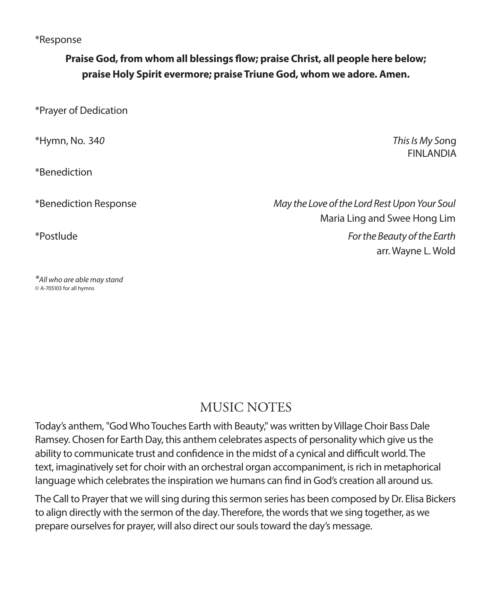### \*Response

### **Praise God, from whom all blessings flow; praise Christ, all people here below; praise Holy Spirit evermore; praise Triune God, whom we adore. Amen.**

\*Prayer of Dedication

\*Hymn, No. 34*0 This Is My So*ng

\*Benediction

*\*All who are able may stand* © A-705103 for all hymns

**FINI ANDIA** 

\*Benediction Response *May the Love of the Lord Rest Upon Your Soul* Maria Ling and Swee Hong Lim \*Postlude *For the Beauty of the Earth* arr. Wayne L. Wold

## MUSIC NOTES

Today's anthem, "God Who Touches Earth with Beauty," was written by Village Choir Bass Dale Ramsey. Chosen for Earth Day, this anthem celebrates aspects of personality which give us the ability to communicate trust and confidence in the midst of a cynical and difficult world. The text, imaginatively set for choir with an orchestral organ accompaniment, is rich in metaphorical language which celebrates the inspiration we humans can find in God's creation all around us.

The Call to Prayer that we will sing during this sermon series has been composed by Dr. Elisa Bickers to align directly with the sermon of the day. Therefore, the words that we sing together, as we prepare ourselves for prayer, will also direct our souls toward the day's message.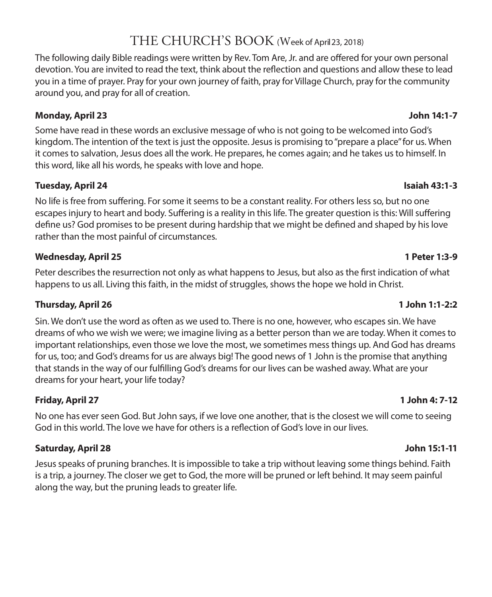# THE CHURCH'S BOOK (Week of April 23, 2018)

The following daily Bible readings were written by Rev. Tom Are, Jr. and are offered for your own personal devotion. You are invited to read the text, think about the reflection and questions and allow these to lead you in a time of prayer. Pray for your own journey of faith, pray for Village Church, pray for the community around you, and pray for all of creation.

### **Monday, April 23 John 14:1-7**

Some have read in these words an exclusive message of who is not going to be welcomed into God's kingdom. The intention of the text is just the opposite. Jesus is promising to "prepare a place" for us. When it comes to salvation, Jesus does all the work. He prepares, he comes again; and he takes us to himself. In this word, like all his words, he speaks with love and hope.

### **Tuesday, April 24 Isaiah 43:1-3**

No life is free from suffering. For some it seems to be a constant reality. For others less so, but no one escapes injury to heart and body. Suffering is a reality in this life. The greater question is this: Will suffering define us? God promises to be present during hardship that we might be defined and shaped by his love rather than the most painful of circumstances.

### **Wednesday, April 25 1 Peter 1:3-9**

Peter describes the resurrection not only as what happens to Jesus, but also as the first indication of what happens to us all. Living this faith, in the midst of struggles, shows the hope we hold in Christ.

### **Thursday, April 26 1 John 1:1-2:2**

Sin. We don't use the word as often as we used to. There is no one, however, who escapes sin. We have dreams of who we wish we were; we imagine living as a better person than we are today. When it comes to important relationships, even those we love the most, we sometimes mess things up. And God has dreams for us, too; and God's dreams for us are always big! The good news of 1 John is the promise that anything that stands in the way of our fulfilling God's dreams for our lives can be washed away. What are your dreams for your heart, your life today?

### **Friday, April 27 1 John 4: 7-12**

No one has ever seen God. But John says, if we love one another, that is the closest we will come to seeing God in this world. The love we have for others is a reflection of God's love in our lives.

### **Saturday, April 28 John 15:1-11**

Jesus speaks of pruning branches. It is impossible to take a trip without leaving some things behind. Faith is a trip, a journey. The closer we get to God, the more will be pruned or left behind. It may seem painful along the way, but the pruning leads to greater life.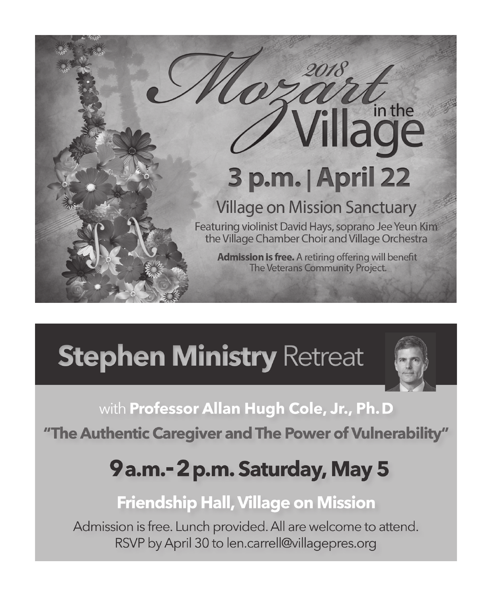

# **Stephen Ministry Retreat**



# with Professor Allan Hugh Cole, Jr., Ph. D

"The Authentic Caregiver and The Power of Vulnerability"

# 9a.m.-2p.m. Saturday, May 5

# **Friendship Hall, Village on Mission**

Admission is free. Lunch provided. All are welcome to attend. RSVP by April 30 to len.carrell@villagepres.org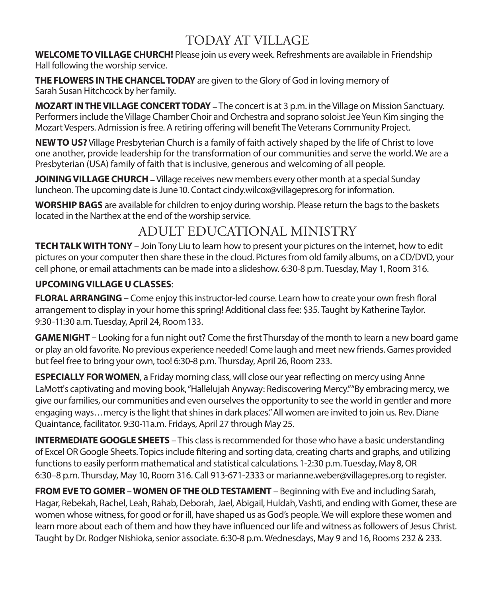# TODAY AT VILLAGE

**WELCOME TO VILLAGE CHURCH!** Please join us every week. Refreshments are available in Friendship Hall following the worship service.

**THE FLOWERS IN THE CHANCEL TODAY** are given to the Glory of God in loving memory of Sarah Susan Hitchcock by her family.

**MOZART IN THE VILLAGE CONCERT TODAY** – The concert is at 3 p.m. in the Village on Mission Sanctuary. Performers include the Village Chamber Choir and Orchestra and soprano soloist Jee Yeun Kim singing the Mozart Vespers. Admission is free. A retiring offering will benefit The Veterans Community Project.

**NEW TO US?** Village Presbyterian Church is a family of faith actively shaped by the life of Christ to love one another, provide leadership for the transformation of our communities and serve the world. We are a Presbyterian (USA) family of faith that is inclusive, generous and welcoming of all people.

**JOINING VILLAGE CHURCH** – Village receives new members every other month at a special Sunday luncheon. The upcoming date is June 10. Contact cindy.wilcox@villagepres.org for information.

**WORSHIP BAGS** are available for children to enjoy during worship. Please return the bags to the baskets located in the Narthex at the end of the worship service.

# ADULT EDUCATIONAL MINISTRY

**TECH TALK WITH TONY** – Join Tony Liu to learn how to present your pictures on the internet, how to edit pictures on your computer then share these in the cloud. Pictures from old family albums, on a CD/DVD, your cell phone, or email attachments can be made into a slideshow. 6:30-8 p.m. Tuesday, May 1, Room 316.

### **UPCOMING VILLAGE U CLASSES**:

**FLORAL ARRANGING** – Come enjoy this instructor-led course. Learn how to create your own fresh floral arrangement to display in your home this spring! Additional class fee: \$35. Taught by Katherine Taylor. 9:30-11:30 a.m. Tuesday, April 24, Room 133.

**GAME NIGHT** – Looking for a fun night out? Come the first Thursday of the month to learn a new board game or play an old favorite. No previous experience needed! Come laugh and meet new friends. Games provided but feel free to bring your own, too! 6:30-8 p.m. Thursday, April 26, Room 233.

**ESPECIALLY FOR WOMEN**, a Friday morning class, will close our year reflecting on mercy using Anne LaMott's captivating and moving book, "Hallelujah Anyway: Rediscovering Mercy." "By embracing mercy, we give our families, our communities and even ourselves the opportunity to see the world in gentler and more engaging ways…mercy is the light that shines in dark places." All women are invited to join us. Rev. Diane Quaintance, facilitator. 9:30-11a.m. Fridays, April 27 through May 25.

**INTERMEDIATE GOOGLE SHEETS** – This class is recommended for those who have a basic understanding of Excel OR Google Sheets. Topics include filtering and sorting data, creating charts and graphs, and utilizing functions to easily perform mathematical and statistical calculations. 1-2:30 p.m. Tuesday, May 8, OR 6:30–8 p.m. Thursday, May 10, Room 316. Call 913-671-2333 or marianne.weber@villagepres.org to register.

**FROM EVE TO GOMER – WOMEN OF THE OLD TESTAMENT** – Beginning with Eve and including Sarah, Hagar, Rebekah, Rachel, Leah, Rahab, Deborah, Jael, Abigail, Huldah, Vashti, and ending with Gomer, these are women whose witness, for good or for ill, have shaped us as God's people. We will explore these women and learn more about each of them and how they have influenced our life and witness as followers of Jesus Christ. Taught by Dr. Rodger Nishioka, senior associate. 6:30-8 p.m. Wednesdays, May 9 and 16, Rooms 232 & 233.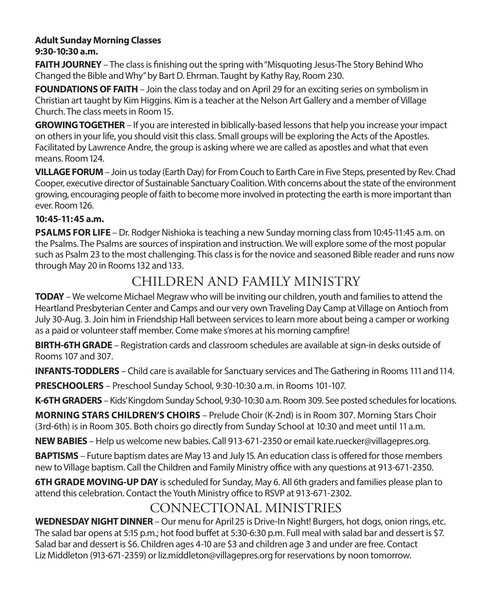### **Adult Sunday Morning Classes 9:30-10:30 a.m.**

**FAITH JOURNEY** – The class is finishing out the spring with "Misquoting Jesus-The Story Behind Who Changed the Bible and Why" by Bart D. Ehrman. Taught by Kathy Ray, Room 230.

**FOUNDATIONS OF FAITH** – Join the class today and on April 29 for an exciting series on symbolism in Christian art taught by Kim Higgins. Kim is a teacher at the Nelson Art Gallery and a member of Village Church. The class meets in Room 15.

**GROWING TOGETHER** – If you are interested in biblically-based lessons that help you increase your impact on others in your life, you should visit this class. Small groups will be exploring the Acts of the Apostles. Facilitated by Lawrence Andre, the group is asking where we are called as apostles and what that even means. Room 124.

**VILLAGE FORUM** – Join us today (Earth Day) for From Couch to Earth Care in Five Steps, presented by Rev. Chad Cooper, executive director of Sustainable Sanctuary Coalition. With concerns about the state of the environment growing, encouraging people of faith to become more involved in protecting the earth is more important than ever. Room 126.

### **10:45-11:45 a.m.**

**PSALMS FOR LIFE** – Dr. Rodger Nishioka is teaching a new Sunday morning class from 10:45-11:45 a.m. on the Psalms. The Psalms are sources of inspiration and instruction. We will explore some of the most popular such as Psalm 23 to the most challenging. This class is for the novice and seasoned Bible reader and runs now through May 20 in Rooms 132 and 133.

# CHILDREN AND FAMILY MINISTRY

**TODAY** – We welcome Michael Megraw who will be inviting our children, youth and families to attend the Heartland Presbyterian Center and Camps and our very own Traveling Day Camp at Village on Antioch from July 30-Aug. 3. Join him in Friendship Hall between services to learn more about being a camper or working as a paid or volunteer staff member. Come make s'mores at his morning campfire!

**BIRTH-6TH GRADE** – Registration cards and classroom schedules are available at sign-in desks outside of Rooms 107 and 307.

**INFANTS-TODDLERS** – Child care is available for Sanctuary services and The Gathering in Rooms 111 and 114.

**PRESCHOOLERS** – Preschool Sunday School, 9:30-10:30 a.m. in Rooms 101-107.

**K-6TH GRADERS** – Kids' Kingdom Sunday School, 9:30-10:30 a.m. Room 309. See posted schedules for locations.

**MORNING STARS CHILDREN'S CHOIRS** – Prelude Choir (K-2nd) is in Room 307. Morning Stars Choir (3rd-6th) is in Room 305. Both choirs go directly from Sunday School at 10:30 and meet until 11 a.m.

**NEW BABIES** – Help us welcome new babies. Call 913-671-2350 or email kate.ruecker@villagepres.org.

**BAPTISMS** – Future baptism dates are May 13 and July 15. An education class is offered for those members new to Village baptism. Call the Children and Family Ministry office with any questions at 913-671-2350.

**6TH GRADE MOVING-UP DAY** is scheduled for Sunday, May 6. All 6th graders and families please plan to attend this celebration. Contact the Youth Ministry office to RSVP at 913-671-2302.

# CONNECTIONAL MINISTRIES

**WEDNESDAY NIGHT DINNER** – Our menu for April 25 is Drive-In Night! Burgers, hot dogs, onion rings, etc. The salad bar opens at 5:15 p.m.; hot food buffet at 5:30-6:30 p.m. Full meal with salad bar and dessert is \$7. Salad bar and dessert is \$6. Children ages 4-10 are \$3 and children age 3 and under are free. Contact Liz Middleton (913-671-2359) or liz.middleton@villagepres.org for reservations by noon tomorrow.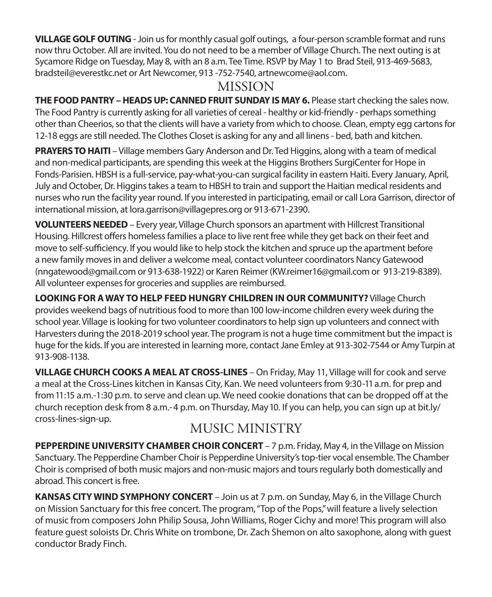**VILLAGE GOLF OUTING** - Join us for monthly casual golf outings, a four-person scramble format and runs now thru October. All are invited. You do not need to be a member of Village Church. The next outing is at Sycamore Ridge on Tuesday, May 8, with an 8 a.m. Tee Time. RSVP by May 1 to Brad Steil, 913-469-5683, bradsteil@everestkc.net or Art Newcomer, 913 -752-7540, artnewcome@aol.com.

# MISSION

**THE FOOD PANTRY – HEADS UP: CANNED FRUIT SUNDAY IS MAY 6.** Please start checking the sales now. The Food Pantry is currently asking for all varieties of cereal - healthy or kid-friendly - perhaps something other than Cheerios, so that the clients will have a variety from which to choose. Clean, empty egg cartons for 12-18 eggs are still needed. The Clothes Closet is asking for any and all linens - bed, bath and kitchen.

**PRAYERS TO HAITI** – Village members Gary Anderson and Dr. Ted Higgins, along with a team of medical and non-medical participants, are spending this week at the Higgins Brothers SurgiCenter for Hope in Fonds-Parisien. HBSH is a full-service, pay-what-you-can surgical facility in eastern Haiti. Every January, April, July and October, Dr. Higgins takes a team to HBSH to train and support the Haitian medical residents and nurses who run the facility year round. If you interested in participating, email or call Lora Garrison, director of international mission, at lora.garrison@villagepres.org or 913-671-2390.

**VOLUNTEERS NEEDED**– Every year, Village Church sponsors an apartment with Hillcrest Transitional Housing. Hillcrest offers homeless families a place to live rent free while they get back on their feet and move to self-sufficiency. If you would like to help stock the kitchen and spruce up the apartment before a new family moves in and deliver a welcome meal, contact volunteer coordinators Nancy Gatewood (nngatewood@gmail.com or 913-638-1922) or Karen Reimer (KW.reimer16@gmail.com or 913-219-8389). All volunteer expenses for groceries and supplies are reimbursed.

**LOOKING FOR A WAY TO HELP FEED HUNGRY CHILDREN IN OUR COMMUNITY?** Village Church provides weekend bags of nutritious food to more than 100 low-income children every week during the school year. Village is looking for two volunteer coordinators to help sign up volunteers and connect with Harvesters during the 2018-2019 school year. The program is not a huge time commitment but the impact is huge for the kids. If you are interested in learning more, contact Jane Emley at 913-302-7544 or Amy Turpin at 913-908-1138.

**VILLAGE CHURCH COOKS A MEAL AT CROSS-LINES** – On Friday, May 11, Village will for cook and serve a meal at the Cross-Lines kitchen in Kansas City, Kan. We need volunteers from 9:30-11 a.m. for prep and from 11:15 a.m.-1:30 p.m. to serve and clean up. We need cookie donations that can be dropped off at the church reception desk from 8 a.m.-4 p.m. on Thursday, May 10. If you can help, you can sign up at bit.ly/ cross-lines-sign-up.

# MUSIC MINISTRY

**PEPPERDINE UNIVERSITY CHAMBER CHOIR CONCERT** - 7 p.m. Friday, May 4, in the Village on Mission Sanctuary. The Pepperdine Chamber Choir is Pepperdine University's top-tier vocal ensemble. The Chamber Choir is comprised of both music majors and non-music majors and tours regularly both domestically and abroad. This concert is free.

**KANSAS CITY WIND SYMPHONY CONCERT** – Join us at 7 p.m. on Sunday, May 6, in the Village Church on Mission Sanctuary for this free concert. The program, "Top of the Pops," will feature a lively selection of music from composers John Philip Sousa, John Williams, Roger Cichy and more! This program will also feature guest soloists Dr. Chris White on trombone, Dr. Zach Shemon on alto saxophone, along with guest conductor Brady Finch.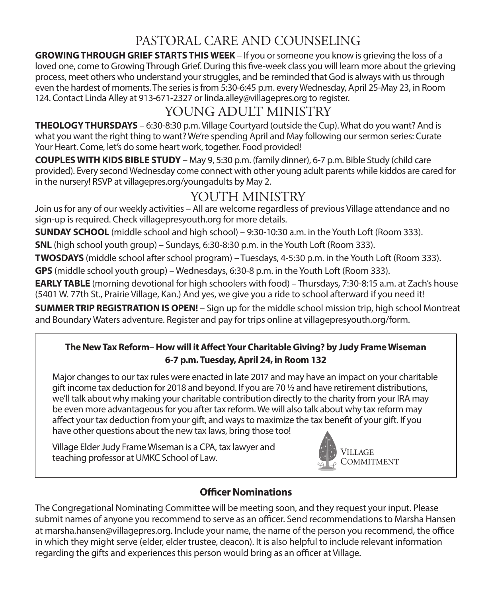# PASTORAL CARE AND COUNSELING

**GROWING THROUGH GRIEF STARTS THIS WEEK** – If you or someone you know is grieving the loss of a loved one, come to Growing Through Grief. During this five-week class you will learn more about the grieving process, meet others who understand your struggles, and be reminded that God is always with us through even the hardest of moments. The series is from 5:30-6:45 p.m. every Wednesday, April 25-May 23, in Room 124. Contact Linda Alley at 913-671-2327 or linda.alley@villagepres.org to register.

# YOUNG ADULT MINISTRY

**THEOLOGY THURSDAYS** – 6:30-8:30 p.m. Village Courtyard (outside the Cup). What do you want? And is what you want the right thing to want? We're spending April and May following our sermon series: Curate Your Heart. Come, let's do some heart work, together. Food provided!

**COUPLES WITH KIDS BIBLE STUDY** – May 9, 5:30 p.m. (family dinner), 6-7 p.m. Bible Study (child care provided). Every second Wednesday come connect with other young adult parents while kiddos are cared for in the nursery! RSVP at villagepres.org/youngadults by May 2.

# YOUTH MINISTRY

Join us for any of our weekly activities – All are welcome regardless of previous Village attendance and no sign-up is required. Check villagepresyouth.org for more details.

**SUNDAY SCHOOL** (middle school and high school) – 9:30-10:30 a.m. in the Youth Loft (Room 333).

**SNL** (high school youth group) – Sundays, 6:30-8:30 p.m. in the Youth Loft (Room 333).

**TWOSDAYS** (middle school after school program) – Tuesdays, 4-5:30 p.m. in the Youth Loft (Room 333).

**GPS** (middle school youth group) – Wednesdays, 6:30-8 p.m. in the Youth Loft (Room 333).

**EARLY TABLE** (morning devotional for high schoolers with food) – Thursdays, 7:30-8:15 a.m. at Zach's house (5401 W. 77th St., Prairie Village, Kan.) And yes, we give you a ride to school afterward if you need it!

**SUMMER TRIP REGISTRATION IS OPEN!** – Sign up for the middle school mission trip, high school Montreat and Boundary Waters adventure. Register and pay for trips online at villagepresyouth.org/form.

### **The New Tax Reform– How will it Affect Your Charitable Giving? by Judy Frame Wiseman 6-7 p.m. Tuesday, April 24, in Room 132**

Major changes to our tax rules were enacted in late 2017 and may have an impact on your charitable gift income tax deduction for 2018 and beyond. If you are 70  $\frac{1}{2}$  and have retirement distributions, we'll talk about why making your charitable contribution directly to the charity from your IRA may be even more advantageous for you after tax reform. We will also talk about why tax reform may affect your tax deduction from your gift, and ways to maximize the tax benefit of your gift. If you have other questions about the new tax laws, bring those too!

Village Elder Judy Frame Wiseman is a CPA, tax lawyer and village cluer Judy Frame wiseman is a CFA, tax lawyer and<br>teaching professor at UMKC School of Law. VILLAGE



### **Officer Nominations**

The Congregational Nominating Committee will be meeting soon, and they request your input. Please submit names of anyone you recommend to serve as an officer. Send recommendations to Marsha Hansen at marsha.hansen@villagepres.org. Include your name, the name of the person you recommend, the office in which they might serve (elder, elder trustee, deacon). It is also helpful to include relevant information regarding the gifts and experiences this person would bring as an officer at Village.